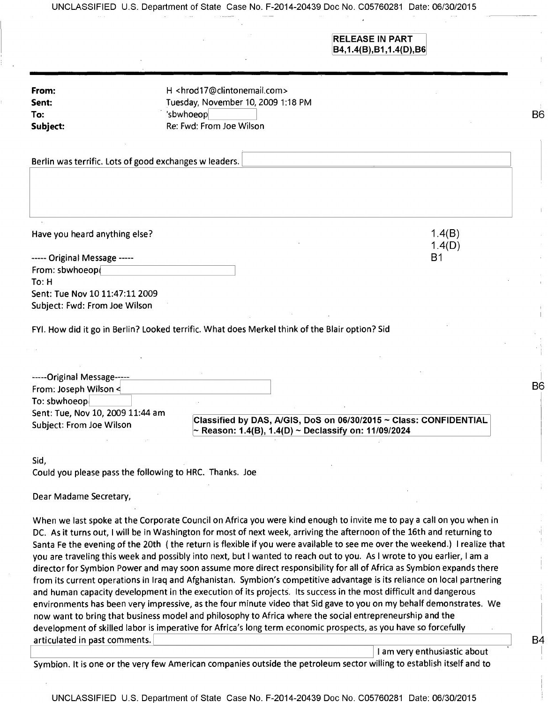|                                                                                                                                     |                                                                                                                                                                                                                                                                                                                                                                        | <b>RELEASE IN PART</b><br>B4,1.4(B), B1,1.4(D), B6                                                                                                                                                                                                                                                                                                                                                                                                                                                                                                                                                                                                                                                                                       |
|-------------------------------------------------------------------------------------------------------------------------------------|------------------------------------------------------------------------------------------------------------------------------------------------------------------------------------------------------------------------------------------------------------------------------------------------------------------------------------------------------------------------|------------------------------------------------------------------------------------------------------------------------------------------------------------------------------------------------------------------------------------------------------------------------------------------------------------------------------------------------------------------------------------------------------------------------------------------------------------------------------------------------------------------------------------------------------------------------------------------------------------------------------------------------------------------------------------------------------------------------------------------|
| From:                                                                                                                               | H <hrod17@clintonemail.com></hrod17@clintonemail.com>                                                                                                                                                                                                                                                                                                                  |                                                                                                                                                                                                                                                                                                                                                                                                                                                                                                                                                                                                                                                                                                                                          |
| Sent:                                                                                                                               | Tuesday, November 10, 2009 1:18 PM                                                                                                                                                                                                                                                                                                                                     |                                                                                                                                                                                                                                                                                                                                                                                                                                                                                                                                                                                                                                                                                                                                          |
| To:                                                                                                                                 | 'sbwhoeop                                                                                                                                                                                                                                                                                                                                                              |                                                                                                                                                                                                                                                                                                                                                                                                                                                                                                                                                                                                                                                                                                                                          |
| Subject:                                                                                                                            | Re: Fwd: From Joe Wilson                                                                                                                                                                                                                                                                                                                                               |                                                                                                                                                                                                                                                                                                                                                                                                                                                                                                                                                                                                                                                                                                                                          |
| Berlin was terrific. Lots of good exchanges w leaders.                                                                              |                                                                                                                                                                                                                                                                                                                                                                        |                                                                                                                                                                                                                                                                                                                                                                                                                                                                                                                                                                                                                                                                                                                                          |
| Have you heard anything else?                                                                                                       |                                                                                                                                                                                                                                                                                                                                                                        | 1.4(B)                                                                                                                                                                                                                                                                                                                                                                                                                                                                                                                                                                                                                                                                                                                                   |
|                                                                                                                                     |                                                                                                                                                                                                                                                                                                                                                                        | 1.4(D)                                                                                                                                                                                                                                                                                                                                                                                                                                                                                                                                                                                                                                                                                                                                   |
| ----- Original Message -----                                                                                                        |                                                                                                                                                                                                                                                                                                                                                                        | B1                                                                                                                                                                                                                                                                                                                                                                                                                                                                                                                                                                                                                                                                                                                                       |
| From: sbwhoeop(                                                                                                                     |                                                                                                                                                                                                                                                                                                                                                                        |                                                                                                                                                                                                                                                                                                                                                                                                                                                                                                                                                                                                                                                                                                                                          |
| To: H                                                                                                                               |                                                                                                                                                                                                                                                                                                                                                                        |                                                                                                                                                                                                                                                                                                                                                                                                                                                                                                                                                                                                                                                                                                                                          |
| Sent: Tue Nov 10 11:47:11 2009                                                                                                      |                                                                                                                                                                                                                                                                                                                                                                        |                                                                                                                                                                                                                                                                                                                                                                                                                                                                                                                                                                                                                                                                                                                                          |
| Subject: Fwd: From Joe Wilson                                                                                                       |                                                                                                                                                                                                                                                                                                                                                                        |                                                                                                                                                                                                                                                                                                                                                                                                                                                                                                                                                                                                                                                                                                                                          |
| -----Original Message-----<br>From: Joseph Wilson <<br>To: sbwhoeop<br>Sent: Tue, Nov 10, 2009 11:44 am<br>Subject: From Joe Wilson |                                                                                                                                                                                                                                                                                                                                                                        | Classified by DAS, A/GIS, DoS on 06/30/2015 ~ Class: CONFIDENTIAL                                                                                                                                                                                                                                                                                                                                                                                                                                                                                                                                                                                                                                                                        |
|                                                                                                                                     | ~ Reason: 1.4(B), 1.4(D) ~ Declassify on: 11/09/2024                                                                                                                                                                                                                                                                                                                   |                                                                                                                                                                                                                                                                                                                                                                                                                                                                                                                                                                                                                                                                                                                                          |
| Sid,<br>Could you please pass the following to HRC. Thanks. Joe                                                                     |                                                                                                                                                                                                                                                                                                                                                                        |                                                                                                                                                                                                                                                                                                                                                                                                                                                                                                                                                                                                                                                                                                                                          |
| Dear Madame Secretary,                                                                                                              |                                                                                                                                                                                                                                                                                                                                                                        |                                                                                                                                                                                                                                                                                                                                                                                                                                                                                                                                                                                                                                                                                                                                          |
|                                                                                                                                     | DC. As it turns out, I will be in Washington for most of next week, arriving the afternoon of the 16th and returning to<br>you are traveling this week and possibly into next, but I wanted to reach out to you. As I wrote to you earlier, I am a<br>and human capacity development in the execution of its projects. Its success in the most difficult and dangerous | When we last spoke at the Corporate Council on Africa you were kind enough to invite me to pay a call on you when in<br>Santa Fe the evening of the 20th (the return is flexible if you were available to see me over the weekend.) I realize that<br>director for Symbion Power and may soon assume more direct responsibility for all of Africa as Symbion expands there<br>from its current operations in Iraq and Afghanistan. Symbion's competitive advantage is its reliance on local partnering<br>environments has been very impressive, as the four minute video that Sid gave to you on my behalf demonstrates. We<br>now want to bring that business model and philosophy to Africa where the social entrepreneurship and the |